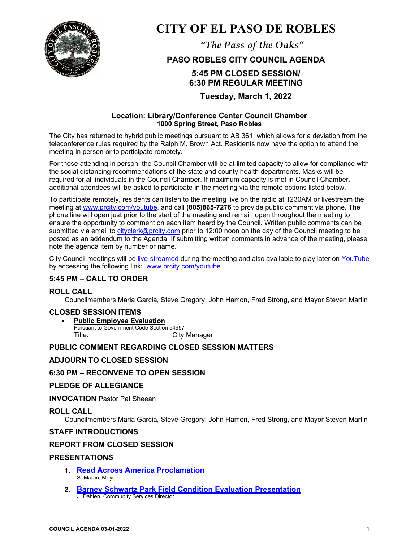

# **CITY OF EL PASO DE ROBLES**

*"The Pass of the Oaks"*

## **PASO ROBLES CITY COUNCIL AGENDA**

## **5:45 PM CLOSED SESSION/ 6:30 PM REGULAR MEETING**

## **Tuesday, March 1, 2022**

## **Location: Library/Conference Center Council Chamber 1000 Spring Street, Paso Robles**

The City has returned to hybrid public meetings pursuant to AB 361, which allows for a deviation from the teleconference rules required by the Ralph M. Brown Act. Residents now have the option to attend the meeting in person or to participate remotely.

For those attending in person, the Council Chamber will be at limited capacity to allow for compliance with the social distancing recommendations of the state and county health departments. Masks will be required for all individuals in the Council Chamber. If maximum capacity is met in Council Chamber, additional attendees will be asked to participate in the meeting via the remote options listed below.

To participate remotely, residents can listen to the meeting live on the radio at 1230AM or livestream the meeting at [www.prcity.com/youtube,](http://www.prcity.com/youtube) and call **(805)865-7276** to provide public comment via phone. The phone line will open just prior to the start of the meeting and remain open throughout the meeting to ensure the opportunity to comment on each item heard by the Council. Written public comments can be submitted via email to [cityclerk@prcity.com](mailto:cityclerk@prcity.com) prior to 12:00 noon on the day of the Council meeting to be posted as an addendum to the Agenda. If submitting written comments in advance of the meeting, please note the agenda item by number or name.

City Council meetings will be [live-streamed](https://www.youtube.com/channel/UCxElWtI1YhkPr6KI552RDuw) during the meeting and also available to play later on [YouTube](https://www.youtube.com/channel/UCxElWtI1YhkPr6KI552RDuw) by accessing the following link: [www.prcity.com/youtube](http://www.prcity.com/youtube) .

## **5:45 PM – CALL TO ORDER**

## **ROLL CALL**

Councilmembers Maria Garcia, Steve Gregory, John Hamon, Fred Strong, and Mayor Steven Martin

## **CLOSED SESSION ITEMS**

• **Public Employee Evaluation** Pursuant to Government Code Section 54957<br>Title: City **City Manager** 

## **PUBLIC COMMENT REGARDING CLOSED SESSION MATTERS**

## **ADJOURN TO CLOSED SESSION**

## **6:30 PM – RECONVENE TO OPEN SESSION**

## **PLEDGE OF ALLEGIANCE**

**INVOCATION** Pastor Pat Sheean

## **ROLL CALL**

Councilmembers Maria Garcia, Steve Gregory, John Hamon, Fred Strong, and Mayor Steven Martin

## **STAFF INTRODUCTIONS**

## **REPORT FROM CLOSED SESSION**

## **PRESENTATIONS**

- **1. [Read Across America Proclamation](https://www.prcity.com/DocumentCenter/View/33242/March-1-2022-City-Council-Agenda-Item-01-PDF)**  S. Martin, Mayor
- **2. [Barney Schwartz Park Field Condition Evaluation Presentation](https://www.prcity.com/DocumentCenter/View/33243/March-1-2022-City-Council-Agenda-Item-02-PDF)**  J. Dahlen, Community Services Director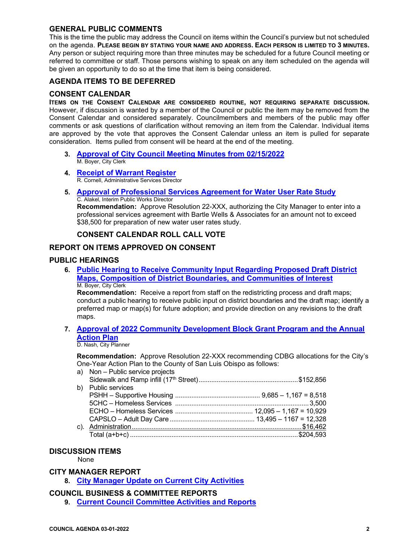## **GENERAL PUBLIC COMMENTS**

This is the time the public may address the Council on items within the Council's purview but not scheduled on the agenda. **PLEASE BEGIN BY STATING YOUR NAME AND ADDRESS. EACH PERSON IS LIMITED TO 3 MINUTES.** Any person or subject requiring more than three minutes may be scheduled for a future Council meeting or referred to committee or staff. Those persons wishing to speak on any item scheduled on the agenda will be given an opportunity to do so at the time that item is being considered.

## **AGENDA ITEMS TO BE DEFERRED**

## **CONSENT CALENDAR**

**ITEMS ON THE CONSENT CALENDAR ARE CONSIDERED ROUTINE, NOT REQUIRING SEPARATE DISCUSSION.** However, if discussion is wanted by a member of the Council or public the item may be removed from the Consent Calendar and considered separately. Councilmembers and members of the public may offer comments or ask questions of clarification without removing an item from the Calendar. Individual items are approved by the vote that approves the Consent Calendar unless an item is pulled for separate consideration. Items pulled from consent will be heard at the end of the meeting.

- **3. [Approval of City Council Meeting Minutes from 02/15/2022](https://www.prcity.com/DocumentCenter/View/33244/March-1-2022-City-Council-Agenda-Item-03-PDF)** M. Boyer, City Clerk
- **4. Receipt [of Warrant Register](https://www.prcity.com/DocumentCenter/View/33245/March-1-2022-City-Council-Agenda-Item-04-PDF)**R. Cornell, Administrative Services Director
- **5. [Approval of Professional Services Agreement for Water User Rate Study](https://www.prcity.com/DocumentCenter/View/33246/March-1-2022-City-Council-Agenda-Item-05-PDF)** C. Alakel, Interim Public Works Director

**Recommendation:** Approve Resolution 22-XXX, authorizing the City Manager to enter into a professional services agreement with Bartle Wells & Associates for an amount not to exceed \$38,500 for preparation of new water user rates study.

## **CONSENT CALENDAR ROLL CALL VOTE**

## **REPORT ON ITEMS APPROVED ON CONSENT**

## **PUBLIC HEARINGS**

**6. [Public Hearing to Receive Community Input](https://www.prcity.com/DocumentCenter/View/33248/March-1-2022-City-Council-Agenda-Item-06-PDF) Regarding Proposed Draft District [Maps, Composition of District Boundaries, and Communities of Interest](https://www.prcity.com/DocumentCenter/View/33248/March-1-2022-City-Council-Agenda-Item-06-PDF)** M. Boyer, City Clerk

**Recommendation:** Receive a report from staff on the redistricting process and draft maps; conduct a public hearing to receive public input on district boundaries and the draft map; identify a preferred map or map(s) for future adoption; and provide direction on any revisions to the draft maps.

**7. [Approval of 2022 Community Development Block Grant Program and the Annual](https://www.prcity.com/DocumentCenter/View/33247/March-1-2022-City-Council-Agenda-Item-07-PDF)  [Action Plan](https://www.prcity.com/DocumentCenter/View/33247/March-1-2022-City-Council-Agenda-Item-07-PDF)**

#### D. Nash, City Planner

**Recommendation:** Approve Resolution 22-XXX recommending CDBG allocations for the City's One-Year Action Plan to the County of San Luis Obispo as follows:

|    | a) Non - Public service projects |  |
|----|----------------------------------|--|
|    |                                  |  |
| b) | <b>Public services</b>           |  |
|    |                                  |  |
|    |                                  |  |
|    |                                  |  |
|    |                                  |  |
|    |                                  |  |
|    |                                  |  |
|    |                                  |  |

## **DISCUSSION ITEMS**

None

## **CITY MANAGER REPORT**

**8. [City Manager Update on](https://www.prcity.com/DocumentCenter/View/33240/March-1-2022-City-Council-Agenda-Item-08-PDF) Current City Activities**

#### **COUNCIL BUSINESS & COMMITTEE REPORTS**

**9. [Current Council Committee Activities and Reports](https://www.prcity.com/DocumentCenter/View/33241/March-1-2022-City-Council-Agenda-Item-09-PDF)**